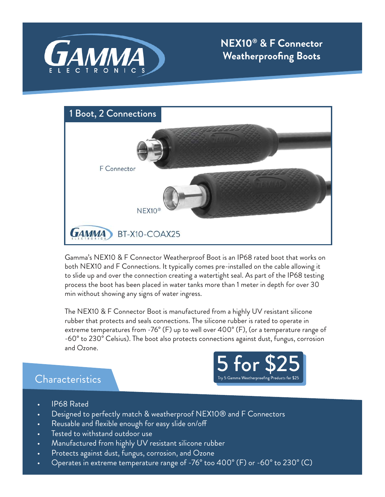



Gamma's NEX10 & F Connector Weatherproof Boot is an IP68 rated boot that works on both NEX10 and F Connections. It typically comes pre-installed on the cable allowing it to slide up and over the connection creating a watertight seal. As part of the IP68 testing process the boot has been placed in water tanks more than 1 meter in depth for over 30 min without showing any signs of water ingress.

The NEX10 & F Connector Boot is manufactured from a highly UV resistant silicone rubber that protects and seals connections. The silicone rubber is rated to operate in extreme temperatures from -76° (F) up to well over 400° (F), (or a temperature range of -60° to 230° Celsius). The boot also protects connections against dust, fungus, corrosion and Ozone.

## **Characteristics**



- IP68 Rated
- Designed to perfectly match & weatherproof NEX10® and F Connectors
- Reusable and flexible enough for easy slide on/off
- Tested to withstand outdoor use
- Manufactured from highly UV resistant silicone rubber
- Protects against dust, fungus, corrosion, and Ozone
- Operates in extreme temperature range of -76° too 400° (F) or -60° to 230° (C)